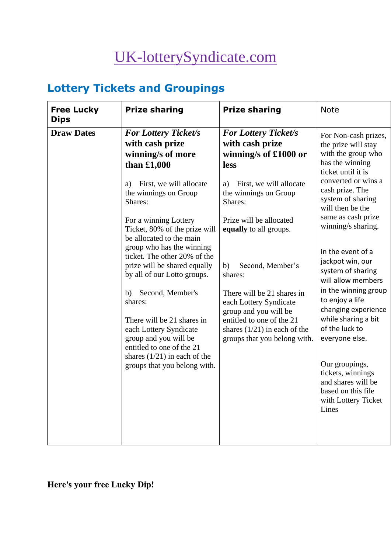# [UK-lotterySyndicate.com](http://www.uk-lotterysyndicate.com/)

## **Lottery Tickets and Groupings**

| <b>Free Lucky</b><br><b>Dips</b> | <b>Prize sharing</b>                                                                                                                                                                                                                                                                                                                                                                                                                                                                                                                                                                             | <b>Prize sharing</b>                                                                                                                                                                                                                                                                                                                                                                                                                  | <b>Note</b>                                                                                                                                                                                                                                                                                                                                                                                                                                                                                                                                                                   |
|----------------------------------|--------------------------------------------------------------------------------------------------------------------------------------------------------------------------------------------------------------------------------------------------------------------------------------------------------------------------------------------------------------------------------------------------------------------------------------------------------------------------------------------------------------------------------------------------------------------------------------------------|---------------------------------------------------------------------------------------------------------------------------------------------------------------------------------------------------------------------------------------------------------------------------------------------------------------------------------------------------------------------------------------------------------------------------------------|-------------------------------------------------------------------------------------------------------------------------------------------------------------------------------------------------------------------------------------------------------------------------------------------------------------------------------------------------------------------------------------------------------------------------------------------------------------------------------------------------------------------------------------------------------------------------------|
| <b>Draw Dates</b>                | <b>For Lottery Ticket/s</b><br>with cash prize<br>winning/s of more<br>than $£1,000$<br>First, we will allocate<br>a)<br>the winnings on Group<br>Shares:<br>For a winning Lottery<br>Ticket, 80% of the prize will<br>be allocated to the main<br>group who has the winning<br>ticket. The other 20% of the<br>prize will be shared equally<br>by all of our Lotto groups.<br>Second, Member's<br>b)<br>shares:<br>There will be 21 shares in<br>each Lottery Syndicate<br>group and you will be<br>entitled to one of the 21<br>shares $(1/21)$ in each of the<br>groups that you belong with. | <b>For Lottery Ticket/s</b><br>with cash prize<br>winning/s of £1000 or<br><b>less</b><br>First, we will allocate<br>a)<br>the winnings on Group<br>Shares:<br>Prize will be allocated<br>equally to all groups.<br>Second, Member's<br>b)<br>shares:<br>There will be 21 shares in<br>each Lottery Syndicate<br>group and you will be<br>entitled to one of the 21<br>shares $(1/21)$ in each of the<br>groups that you belong with. | For Non-cash prizes,<br>the prize will stay<br>with the group who<br>has the winning<br>ticket until it is<br>converted or wins a<br>cash prize. The<br>system of sharing<br>will then be the<br>same as cash prize<br>winning/s sharing.<br>In the event of a<br>jackpot win, our<br>system of sharing<br>will allow members<br>in the winning group<br>to enjoy a life<br>changing experience<br>while sharing a bit<br>of the luck to<br>everyone else.<br>Our groupings,<br>tickets, winnings<br>and shares will be<br>based on this file<br>with Lottery Ticket<br>Lines |

## **Here's your free Lucky Dip!**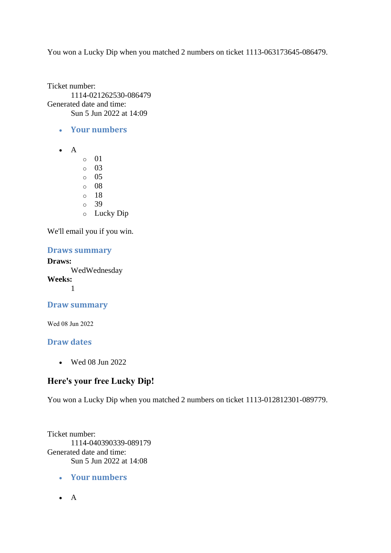You won a Lucky Dip when you matched 2 numbers on ticket 1113-063173645-086479.

Ticket number: 1114-021262530-086479 Generated date and time: Sun 5 Jun 2022 at 14:09

- **Your numbers**
- $\bullet$  A
- o 01
- o 03
- o 05
- o 08
- o 18
- o 39
- o Lucky Dip

We'll email you if you win.

#### **Draws summary**

**Draws:** WedWednesday **Weeks:** 1

## **Draw summary**

Wed 08 Jun 2022

#### **Draw dates**

• Wed 08 Jun 2022

## **Here's your free Lucky Dip!**

You won a Lucky Dip when you matched 2 numbers on ticket 1113-012812301-089779.

Ticket number: 1114-040390339-089179 Generated date and time: Sun 5 Jun 2022 at 14:08

- **Your numbers**
- A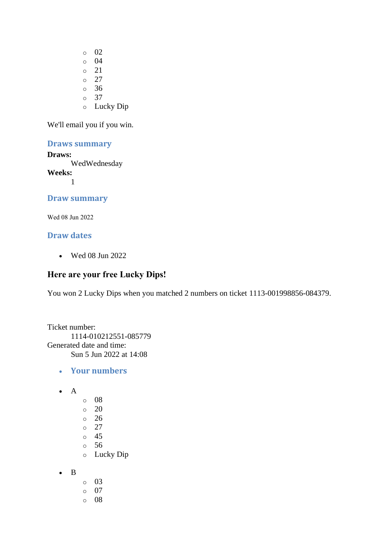- o 02 o 04 o 21 o 27 o 36 o 37
- o Lucky Dip

#### **Draws summary**

#### **Draws:**

WedWednesday

**Weeks:**

1

#### **Draw summary**

Wed 08 Jun 2022

#### **Draw dates**

• Wed 08 Jun 2022

## **Here are your free Lucky Dips!**

You won 2 Lucky Dips when you matched 2 numbers on ticket 1113-001998856-084379.

Ticket number: 1114-010212551-085779 Generated date and time: Sun 5 Jun 2022 at 14:08

- **Your numbers**
- A
- o 08
- $\circ$  20
- o 26
- o 27
- o 45
- o 56
- o Lucky Dip
- B
- o 03
- o 07
- o 08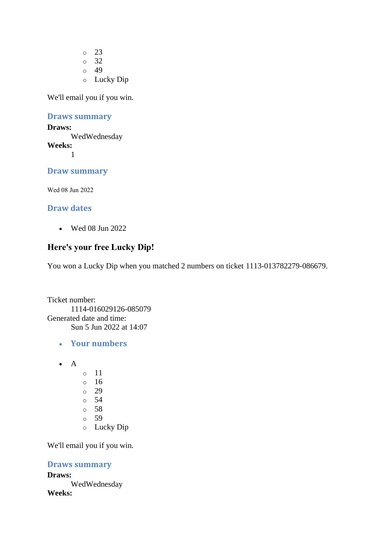o 23 o 32  $\circ$  49 o Lucky Dip

We'll email you if you win.

**Draws summary**

**Draws:** WedWednesday **Weeks:** 1

## **Draw summary**

Wed 08 Jun 2022

#### **Draw dates**

• Wed 08 Jun 2022

## **Here's your free Lucky Dip!**

You won a Lucky Dip when you matched 2 numbers on ticket 1113-013782279-086679.

Ticket number: 1114-016029126-085079 Generated date and time: Sun 5 Jun 2022 at 14:07

- **Your numbers**
- $\bullet$  A
- o 11
- o 16
- o 29
- o 54
- o 58
- o 59
- o Lucky Dip

We'll email you if you win.

#### **Draws summary**

**Draws:** WedWednesday **Weeks:**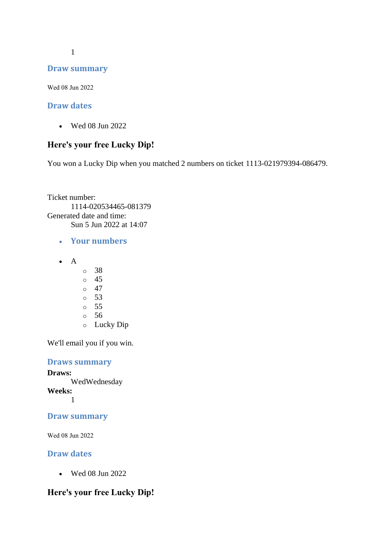1

#### **Draw summary**

Wed 08 Jun 2022

#### **Draw dates**

• Wed 08 Jun 2022

#### **Here's your free Lucky Dip!**

You won a Lucky Dip when you matched 2 numbers on ticket 1113-021979394-086479.

Ticket number: 1114-020534465-081379 Generated date and time: Sun 5 Jun 2022 at 14:07

- **Your numbers**
- A
	- o 38
	- o 45
	- $\circ$  47
	- o 53
	- o 55
	- o 56
	- o Lucky Dip

We'll email you if you win.

**Draws summary Draws:** WedWednesday **Weeks:** 1

#### **Draw summary**

Wed 08 Jun 2022

#### **Draw dates**

• Wed 08 Jun 2022

#### **Here's your free Lucky Dip!**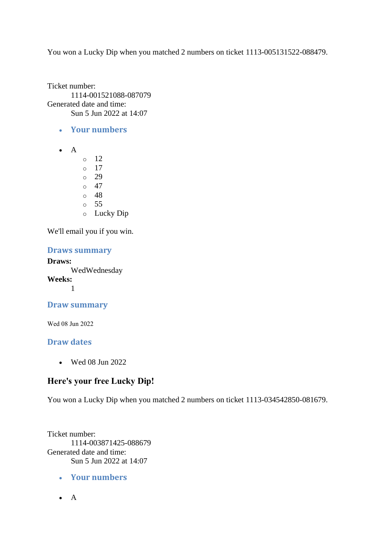You won a Lucky Dip when you matched 2 numbers on ticket 1113-005131522-088479.

Ticket number: 1114-001521088-087079 Generated date and time: Sun 5 Jun 2022 at 14:07

- **Your numbers**
- $\bullet$  A
- $\circ$  12
- o 17
- o 29  $\circ$  47
- o 48
- o 55
- o Lucky Dip

We'll email you if you win.

#### **Draws summary**

**Draws:** WedWednesday **Weeks:** 1

## **Draw summary**

Wed 08 Jun 2022

#### **Draw dates**

• Wed 08 Jun 2022

## **Here's your free Lucky Dip!**

You won a Lucky Dip when you matched 2 numbers on ticket 1113-034542850-081679.

Ticket number: 1114-003871425-088679 Generated date and time: Sun 5 Jun 2022 at 14:07

- **Your numbers**
- A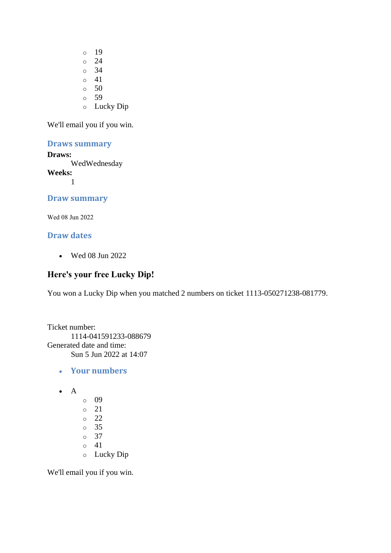- o 19 o 24 o 34  $\circ$  41  $\circ$  50 o 59
- o Lucky Dip

#### **Draws summary**

#### **Draws:**

WedWednesday

**Weeks:** 1

## **Draw summary**

Wed 08 Jun 2022

#### **Draw dates**

• Wed 08 Jun 2022

## **Here's your free Lucky Dip!**

You won a Lucky Dip when you matched 2 numbers on ticket 1113-050271238-081779.

```
Ticket number:
       1114-041591233-088679
Generated date and time:
      Sun 5 Jun 2022 at 14:07
```
- **Your numbers**
- A
	- o 09 o 21 o 22 o 35 o 37  $\circ$  41 o Lucky Dip

We'll email you if you win.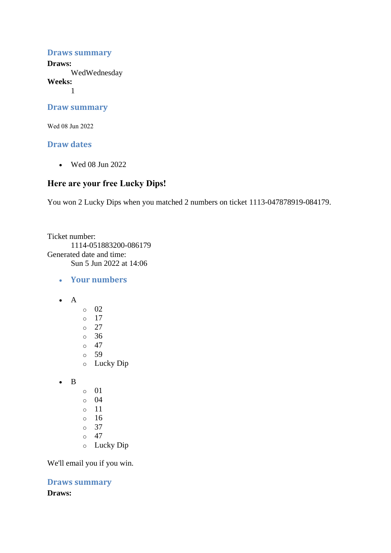#### **Draws summary**

**Draws:**

WedWednesday

**Weeks:**

1

#### **Draw summary**

Wed 08 Jun 2022

#### **Draw dates**

• Wed 08 Jun 2022

#### **Here are your free Lucky Dips!**

You won 2 Lucky Dips when you matched 2 numbers on ticket 1113-047878919-084179.

Ticket number: 1114-051883200-086179 Generated date and time: Sun 5 Jun 2022 at 14:06

- **Your numbers**
- A
- o 02  $\circ$  17
- o 27
- o 36
- $\circ$  47
- o 59
- o Lucky Dip
- B
- o 01
- $\circ$  04
- o 11
- o 16
- o 37
- $\circ$  47
- o Lucky Dip

We'll email you if you win.

**Draws summary Draws:**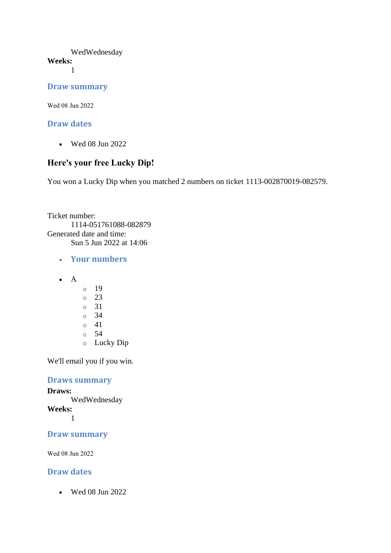## WedWednesday

**Weeks:**

1

#### **Draw summary**

Wed 08 Jun 2022

## **Draw dates**

• Wed 08 Jun 2022

## **Here's your free Lucky Dip!**

You won a Lucky Dip when you matched 2 numbers on ticket 1113-002870019-082579.

Ticket number: 1114-051761088-082879 Generated date and time: Sun 5 Jun 2022 at 14:06

- **Your numbers**
- A
- o 19 o 23 o 31
- o 34
- $\circ$  41
- o 54
- o Lucky Dip

We'll email you if you win.

#### **Draws summary**

**Draws:**

WedWednesday

**Weeks:**

1

## **Draw summary**

Wed 08 Jun 2022

## **Draw dates**

• Wed 08 Jun 2022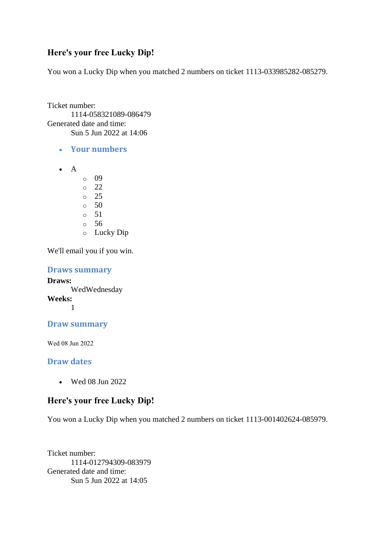## **Here's your free Lucky Dip!**

You won a Lucky Dip when you matched 2 numbers on ticket 1113-033985282-085279.

Ticket number: 1114-058321089-086479 Generated date and time: Sun 5 Jun 2022 at 14:06

- **Your numbers**
- A
	- o 09
	- o 22
	- $\circ$  25
	- $\circ$  50
	- o 51
	- o 56
	- o Lucky Dip

We'll email you if you win.

**Draws summary**

**Draws:** WedWednesday **Weeks:** 1

#### **Draw summary**

Wed 08 Jun 2022

#### **Draw dates**

• Wed 08 Jun 2022

#### **Here's your free Lucky Dip!**

You won a Lucky Dip when you matched 2 numbers on ticket 1113-001402624-085979.

Ticket number: 1114-012794309-083979 Generated date and time: Sun 5 Jun 2022 at 14:05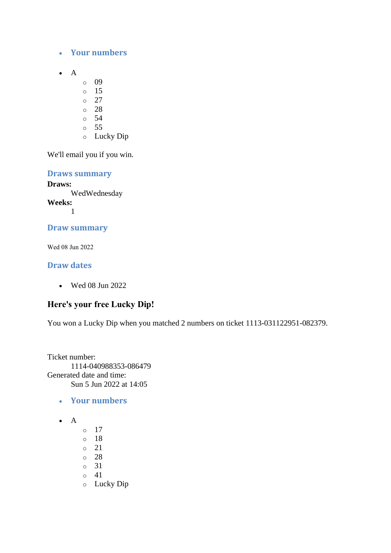- **Your numbers**
- A
- o 09
- o 15
- o 27
- o 28
- o 54
- o 55
- o Lucky Dip

**Draws summary Draws:** WedWednesday **Weeks:** 1

## **Draw summary**

Wed 08 Jun 2022

#### **Draw dates**

• Wed 08 Jun 2022

## **Here's your free Lucky Dip!**

You won a Lucky Dip when you matched 2 numbers on ticket 1113-031122951-082379.

Ticket number: 1114-040988353-086479 Generated date and time: Sun 5 Jun 2022 at 14:05

- **Your numbers**
- $\bullet$  A
- o 17 o 18 o 21 o 28 o 31  $\circ$  41 o Lucky Dip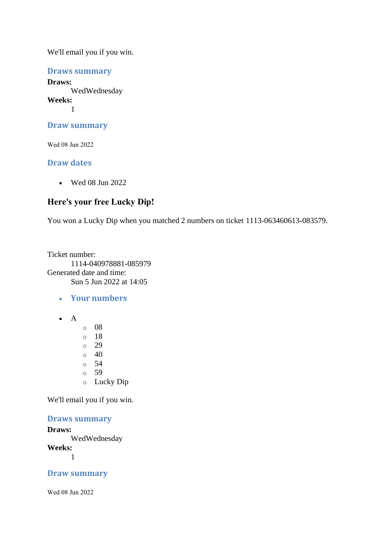**Draws summary**

**Draws:** WedWednesday **Weeks:** 1

**Draw summary**

Wed 08 Jun 2022

#### **Draw dates**

• Wed 08 Jun 2022

## **Here's your free Lucky Dip!**

You won a Lucky Dip when you matched 2 numbers on ticket 1113-063460613-083579.

Ticket number: 1114-040978881-085979 Generated date and time: Sun 5 Jun 2022 at 14:05

• **Your numbers** 

- A
- o 08 o 18 o 29  $\circ$  40 o 54 o 59 o Lucky Dip

We'll email you if you win.

#### **Draws summary**

**Draws:** WedWednesday **Weeks:** 1

**Draw summary**

Wed 08 Jun 2022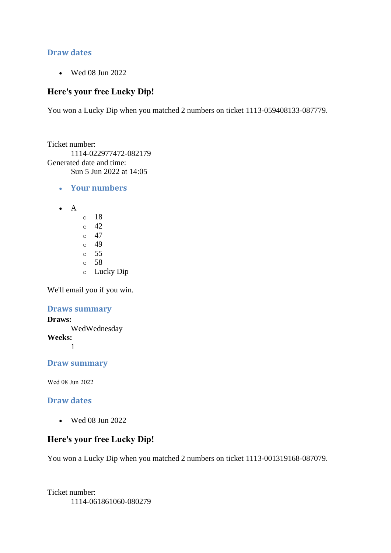#### **Draw dates**

• Wed 08 Jun 2022

#### **Here's your free Lucky Dip!**

You won a Lucky Dip when you matched 2 numbers on ticket 1113-059408133-087779.

Ticket number: 1114-022977472-082179 Generated date and time: Sun 5 Jun 2022 at 14:05

- **Your numbers**
- A
	- o 18  $\circ$  42  $\circ$  47 o 49 o 55 o 58 o Lucky Dip

We'll email you if you win.

#### **Draws summary**

**Draws:** WedWednesday **Weeks:** 1

**Draw summary**

Wed 08 Jun 2022

#### **Draw dates**

• Wed 08 Jun 2022

## **Here's your free Lucky Dip!**

You won a Lucky Dip when you matched 2 numbers on ticket 1113-001319168-087079.

Ticket number: 1114-061861060-080279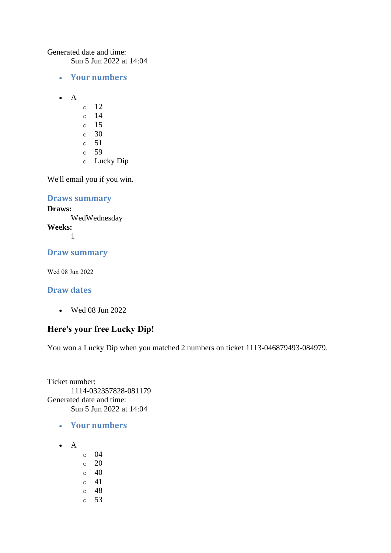Generated date and time:

Sun 5 Jun 2022 at 14:04

- **Your numbers**
- A
	- $\circ$  12
	- o 14
	- o 15
	- o 30
	- $\circ$  51
	- o 59
	- o Lucky Dip

We'll email you if you win.

#### **Draws summary**

#### **Draws:**

WedWednesday **Weeks:** 1

## **Draw summary**

Wed 08 Jun 2022

## **Draw dates**

• Wed 08 Jun 2022

## **Here's your free Lucky Dip!**

You won a Lucky Dip when you matched 2 numbers on ticket 1113-046879493-084979.

Ticket number: 1114-032357828-081179 Generated date and time: Sun 5 Jun 2022 at 14:04

- **Your numbers**
- A
	- o 04
	- o 20
	- $\circ$  40
	- o 41
	- o 48 o 53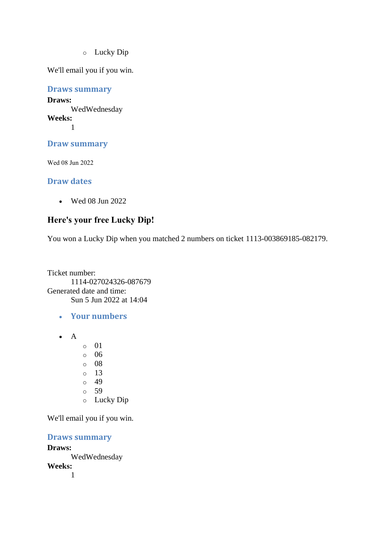o Lucky Dip

We'll email you if you win.

**Draws summary Draws:** WedWednesday **Weeks:** 1

**Draw summary**

Wed 08 Jun 2022

#### **Draw dates**

• Wed 08 Jun 2022

## **Here's your free Lucky Dip!**

You won a Lucky Dip when you matched 2 numbers on ticket 1113-003869185-082179.

Ticket number: 1114-027024326-087679 Generated date and time: Sun 5 Jun 2022 at 14:04

- **Your numbers**
- A
- o 01
- o 06
- o 08
- $\circ$  13
- o 49
- o 59
- o Lucky Dip

We'll email you if you win.

#### **Draws summary**

#### **Draws:**

WedWednesday

**Weeks:** 1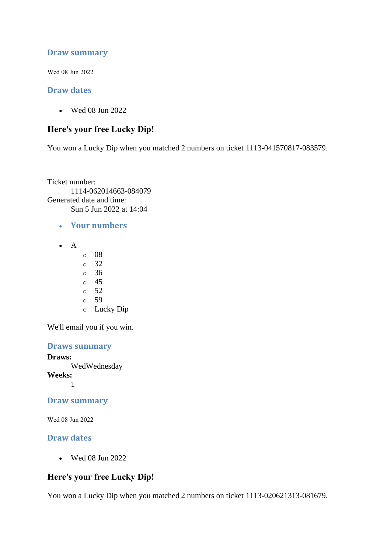#### **Draw summary**

Wed 08 Jun 2022

#### **Draw dates**

• Wed 08 Jun 2022

#### **Here's your free Lucky Dip!**

You won a Lucky Dip when you matched 2 numbers on ticket 1113-041570817-083579.

Ticket number: 1114-062014663-084079 Generated date and time: Sun 5 Jun 2022 at 14:04

- **Your numbers**
- A
- o 08
- o 32
- o 36
- o 45
- $\circ$  52
- o 59
- o Lucky Dip

We'll email you if you win.

#### **Draws summary**

**Draws:** WedWednesday **Weeks:** 1

**Draw summary**

Wed 08 Jun 2022

#### **Draw dates**

• Wed 08 Jun 2022

#### **Here's your free Lucky Dip!**

You won a Lucky Dip when you matched 2 numbers on ticket 1113-020621313-081679.